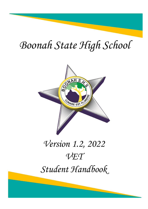# *Boonah State High School*



## *Version 1.2, 2022 VET Student Handbook*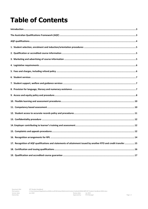### **Table of Contents**

| 17. Recognition of AQF qualifications and statements of attainment issued by another RTO and credit transfer  15 |  |
|------------------------------------------------------------------------------------------------------------------|--|
|                                                                                                                  |  |
|                                                                                                                  |  |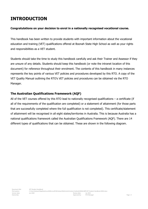### <span id="page-2-0"></span>**INTRODUCTION**

#### **Congratulations on your decision to enrol in a nationally recognised vocational course.**

This handbook has been written to provide students with important information about the vocational education and training (VET) qualifications offered at Boonah State High School as well as your rights and responsibilities as a VET student.

Students should take the time to study this handbook carefully and ask their Trainer and Assessor if they are unsure of any details. Students should keep this handbook (or note the intranet location of this document) for reference throughout their enrolment. The contents of this handbook in many instances represents the key points of various VET policies and procedures developed by this RTO. A copy of the VET Quality Manual outlining the RTO's VET policies and procedures can be obtained via the RTO Manager.

#### <span id="page-2-1"></span>**The Australian Qualifications Framework (AQF)**

All of the VET courses offered by this RTO lead to nationally recognised qualifications – a certificate (if all of the requirements of the qualification are completed) or a statement of attainment (for those parts that are successfully completed where the full qualification is not completed). This certificate/statement of attainment will be recognised in all eight states/territories in Australia. This is because Australia has a national qualifications framework called the Australian Qualifications Framework (AQF). There are 14 different types of qualifications that can be obtained. These are shown in the following diagram.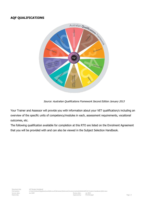#### <span id="page-3-0"></span>**AQF QUALIFICATIONS**



Source: Australian Qualifications Framework Second Edition January 2013

Your Trainer and Assessor will provide you with information about your VET qualification/s including an overview of the specific units of competency/modules in each, assessment requirements, vocational outcomes, etc.

The following qualification available for completion at this RTO are listed on the Enrolment Agreement that you will be provided with and can also be viewed in the Subject Selection Handbook.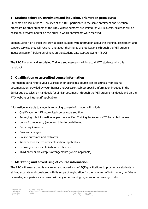#### <span id="page-4-0"></span>**1. Student selection, enrolment and induction/orientation procedures**

Students enrolled in the VET courses at this RTO participate in the same enrolment and selection processes as other students at the RTO. Where numbers are limited for VET subjects, selection will be based on interview and/or on the order in which enrolments were received.

Boonah State High School will provide each student with information about the training, assessment and support services they will receive, and about their rights and obligations (through the VET student induction session) before enrolment on the Student Data Capture System (SDCS).

The RTO Manager and associated Trainers and Assessors will induct all VET students with this handbook.

#### <span id="page-4-1"></span>**2. Qualification or accredited course information**

Information pertaining to your qualification or accredited course can be sourced from course documentation provided by your Trainer and Assessor, subject specific information included in the Senior subject selection handbook (or similar document), through the VET student handbook and on the RTO website or intranet (if applicable).

Information available to students regarding course information will include:

- Qualification or VET accredited course code and title
- Packaging rule information as per the specified Training Package or VET Accredited course
- Units of competency (code and title) to be delivered
- Entry requirements
- Fees and charges
- Course outcomes and pathways
- Work experience requirements (where applicable)
- Licensing requirements (where applicable)
- Third party or off-campus arrangements (where applicable)

#### <span id="page-4-2"></span>**3. Marketing and advertising of course information**

The RTO will ensure that its marketing and advertising of AQF qualifications to prospective students is ethical, accurate and consistent with its scope of registration. In the provision of information, no false or misleading comparisons are drawn with any other training organisation or training product.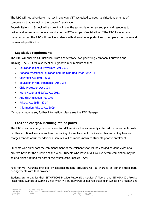The RTO will not advertise or market in any way VET accredited courses, qualifications or units of competency that are not on the scope of registration.

Boonah State High School will ensure it will have the appropriate human and physical resources to deliver and assess any course currently on the RTO's scope of registration. If the RTO loses access to these resources, the RTO will provide students with alternative opportunities to complete the course and the related qualification.

#### <span id="page-5-0"></span>**4. Legislative requirements**

The RTO will observe all Australian, state and territory laws governing Vocational Education and Training. The RTO will also meet all legislative requirements of the:

- [Education \(General Provisions\) Act 2006](https://www.legislation.qld.gov.au/LEGISLTN/CURRENT/E/EducGenPrA06.pdf)
- [National Vocational Education and Training Regulator Act 2011](http://www.comlaw.gov.au/Details/C2014C00623/77524942-2969-4aab-bdce-529b95ebb2f9)
- [Copyright Act 1968 \(2006\)](http://www.comlaw.gov.au/Details/C2014C00291/394cbe1c-c423-4f21-8cb8-3272a064aab4)
- [Education \(Work Experience\) Act 1996](https://www.legislation.qld.gov.au/LEGISLTN/CURRENT/E/EducWkExA96.pdf)
- [Child Protection Act 1999](https://www.legislation.qld.gov.au/LEGISLTN/CURRENT/C/ChildProtectA99.pdf)
- [Work Health and Safety Act 2011](https://www.legislation.qld.gov.au/LEGISLTN/CURRENT/W/WorkHSA11.pdf)
- [Anti-discrimination Act 1991](https://www.legislation.qld.gov.au/LEGISLTN/CURRENT/A/AntiDiscrimA91.pdf)
- [Privacy Act 1988 \(2014\)](http://www.comlaw.gov.au/Details/C2014C00757/9f9e7235-b12a-42f5-a77f-3aeb9d5b1736)
- [Information Privacy Act 2009](https://www.legislation.qld.gov.au/LEGISLTN/CURRENT/I/InfoPrivA09.pdf)

If students require any further information, please see the RTO Manager.

#### <span id="page-5-1"></span>**5. Fees and charges, including refund policy**

The RTO does not charge students fees for VET services. Levies are only collected for consumable costs or other additional services such as the issuing of a replacement qualification testamur. Any fees and charges that do occur for additional services will be made known to students prior to enrolment.

Students who enrol past the commencement of the calendar year will be charged student levies at a pro-rata basis for the duration of the year. Students who leave a VET course before completion may be able to claim a refund for part of the course consumables (levy).

Fees for VET Courses provided by external training providers will be charged as per the third party arrangements with that provider.

Students are to pay for their SITHFAB002 Provide Responsible service of Alcohol and SITHGAM001 Provide Responsible Service of Gaming units which will be delivered at Boonah State High School by a trainer and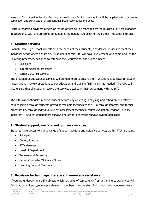assessor from Prestige Service Training. A credit transfer for these units will be applied after successful completion and certificate of attainment has been received for the units.

Matters regarding payment of fees or refund of fees will be managed by the Business Services Manager in accordance with the principles contained in the general fee policy of the school (not specific to VET).

#### <span id="page-6-0"></span>**6. Student services**

Boonah State High School will establish the needs of their students, and deliver services to meet their individual needs where applicable. All students at this RTO will have involvement with some or all of the following processes, designed to establish their educational and support needs:

- SET plans
- subject selection processes
- career guidance services

The provision of educational services will be monitored to ensure the RTO continues to cater for student needs through review of student senior education and training (SET) plans, as needed. The RTO will also ensure that all students receive the services detailed in their agreement with the RTO.

The RTO will continually improve student services by collecting, analysing and acting on any relevant data collection through students providing valuable feedback to the RTO through informal and formal processes i.e. through individual student assessment feedback, course evaluation feedback, quality indicators — student engagement surveys and school-generated surveys (where applicable).

#### <span id="page-6-1"></span>**7. Student support, welfare and guidance services**

Students have access to a wide range of support, welfare and guidance services at this RTO, including:

- Principal
- Deputy Principal
- RTO Manager
- Head of Department
- Trainers and Assessors
- Career Counsellor/Guidance Officer
- Learning Support Teachers

#### <span id="page-6-2"></span>**8. Provision for language, literacy and numeracy assistance**

If you are undertaking a VET subject, which has units of competency from a training package, you will find that basic literacy/numeracy elements have been incorporated. This should help you learn these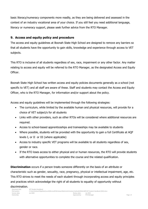basic literacy/numeracy components more readily, as they are being delivered and assessed in the context of an industry vocational area of your choice. If you still feel you need additional language, literacy or numeracy support, please seek further advice from the RTO Manager.

#### <span id="page-7-0"></span>**9. Access and equity policy and procedure**

The access and equity guidelines at Boonah State High School are designed to remove any barriers so that all students have the opportunity to gain skills, knowledge and experience through access to VET subjects.

This RTO is inclusive of all students regardless of sex, race, impairment or any other factor. Any matter relating to access and equity will be referred to the RTO Manager, as the designated Access and Equity Officer.

Boonah State High School has written access and equity policies documents generally as a school (not specific to VET) and all staff are aware of these. Staff and students may contact the Access and Equity Officer, who is the RTO Manager, for information and/or support about the policy.

Access and equity guidelines will be implemented through the following strategies:

- The curriculum, while limited by the available human and physical resources, will provide for a choice of VET subject/s for all students
- Links with other providers, such as other RTOs will be considered where additional resources are required.
- Access to school-based apprenticeships and traineeships may be available to students
- Where possible, students will be provided with the opportunity to gain a full Certificate at AQF levels I, or II or III (where applicable)
- Access to industry specific VET programs will be available to all students regardless of sex, gender or race.
- If the RTO loses access to either physical and or human resources, the RTO will provide students with alternative opportunities to complete the course and the related qualification.

**Discrimination** occurs if a person treats someone differently on the basis of an attribute or characteristic such as gender, sexuality, race, pregnancy, physical or intellectual impairment, age, etc. This RTO strives to meet the needs of each student through incorporating access and equity principles and practices which acknowledge the right of all students to equality of opportunity without

discrimination.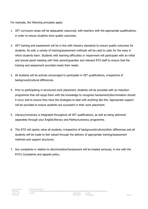For example, the following principles apply:

- 1. VET curriculum areas will be adequately resourced, with teachers with the appropriate qualifications, in order to ensure students have quality outcomes.
- 2. VET training and assessment will be in line with industry standards to ensure quality outcomes for students. As well, a variety of training/assessment methods will be used to cater for the ways in which students learn. Students with learning difficulties or impairment will participate with an initial and annual panel meeting with their parent/guardian and relevant RTO staff to ensure that the training and assessment provided meets their needs.
- 3. All students will be actively encouraged to participate in VET qualifications, irrespective of background/cultural differences.
- 4. Prior to participating in structured work placement, students will be provided with an induction programme that will equip them with the knowledge to recognise harassment/discrimination should it occur and to ensure they have the strategies to deal with anything like this. Appropriate support will be provided to ensure students are successful in their work placement.
- 5. Literacy/numeracy is integrated throughout all VET qualifications, as well as being delivered separately through your English/literacy and Maths/numeracy programme.
- 6. This RTO will openly value all students, irrespective of background/culture/other differences and all students will be made to feel valued through the delivery of appropriate training/assessment methods and support structures.
- 7. Any complaints in relation to discrimination/harassment will be treated seriously, in line with the RTO's Complaints and appeals policy.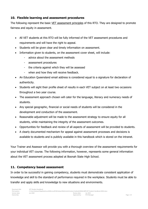#### <span id="page-9-0"></span>**10. Flexible learning and assessment procedures**

The following represent the basic VET assessment principles of this RTO. They are designed to promote fairness and equity in assessment.

- All VET students at this RTO will be fully informed of the VET assessment procedures and requirements and will have the right to appeal.
- Students will be given clear and timely information on assessment.
- Information given to students, on the assessment cover sheet, will include:
	- advice about the assessment methods
	- assessment procedures
	- the criteria against which they will be assessed
	- when and how they will receive feedback.
- An Education Oueensland email address is considered equal to a signature for declaration of authenticity.
- Students will sight their profile sheet of results in each VET subject on at least two occasions throughout a two year course.
- The assessment approach chosen will cater for the language, literacy and numeracy needs of students.
- Any special geographic, financial or social needs of students will be considered in the development and conduction of the assessment.
- Reasonable adjustment will be made to the assessment strategy to ensure equity for all students, while maintaining the integrity of the assessment outcomes.
- Opportunities for feedback and review of all aspects of assessment will be provided to students.
- A clearly documented mechanism for appeal against assessment processes and decisions is available to students and is publicly available in this handbook which is stored on the intranet.

Your Trainer and Assessor will provide you with a thorough overview of the assessment requirements for your individual VET course. The following information, however, represents some general information about the VET assessment process adopted at Boonah State High School.

#### <span id="page-9-1"></span>**11. Competency based assessment**

In order to be successful in gaining competency, students must demonstrate consistent application of knowledge and skill to the standard of performance required in the workplace. Students must be able to transfer and apply skills and knowledge to new situations and environments.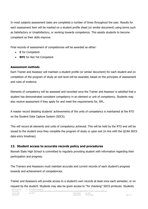In most subjects assessment tasks are completed a number of times throughout the year. Results for each assessment item will be marked on a student profile sheet (or similar document) using terms such as Satisfactory or Unsatisfactory, or working towards competence. This assists students to become competent as their skills improve.

Final records of assessment of competencies will be awarded as either:

- **C** for Competent
- **NYC** for Not Yet Competent

#### **Assessment methods**

Each Trainer and Assessor will maintain a student profile (or similar document) for each student and on completion of the program of study an exit level will be awarded, based on the principles of assessment and rules of evidence.

Elements of competency will be assessed and recorded once the Trainer and Assessor is satisfied that a student has demonstrated consistent competency in an element or unit of competency. Students may also receive assessment if they apply for and meet the requirements for, RPL.

A master record detailing students' achievements of the units of competency is maintained at the RTO on the Student Data Capture System (SDCS).

This will record all elements and units of competency achieved. This will be held by the RTO and will be issued to the student once they complete the program of study or upon exit (in line with the QCAA SDCS data entry timelines).

#### <span id="page-10-0"></span>**12. Student access to accurate records policy and procedures**

Boonah State High School is committed to regularly providing student with information regarding their participation and progress.

The Trainers and Assessors must maintain accurate and current records of each student's progress towards and achievement of competencies.

Trainer and Assessors will provide access to a student's own records at least once each semester, or on request by the student. Students may also be given access to "for checking" SDCS printouts. Students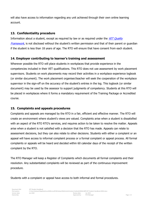will also have access to information regarding any unit achieved through their own online learning account.

#### <span id="page-11-0"></span>**13. Confidentiality procedure**

Information about a student, except as required by law or as required under the  $VET$  Quality [Framework](http://www.asqa.gov.au/about-asqa/national-vet-regulation/vet-quality-framework.html), is not disclosed without the student's written permission and that of their parent or guardian if the student is less than 18 years of age. The RTO will ensure that have consent from each student.

#### <span id="page-11-1"></span>**14. Employer contributing to learner's training and assessment**

Wherever possible the RTO will place students in workplaces that provide experience in the competencies included in their VET qualifications. This RTO does not use assessment by work placement supervisors. Students on work placements may record their activities in a workplace experience logbook (or similar document). The work placement organiser/teacher will seek the cooperation of the workplace supervisor in the sign-off on the accuracy of the student's entries in the log. This logbook (or similar document) may be used by the assessor to support judgments of competency. Students at this RTO will be placed in workplaces where it forms a mandatory requirement of the Training Package or Accredited course.

#### <span id="page-11-2"></span>**15. Complaints and appeals procedures**

Complaints and appeals are managed by the RTO in a fair, efficient and effective manner. The RTO will create an environment where student's views are valued. Complaints arise when a student is dissatisfied with an aspect of the RTO RTO's services, and requires action to be taken to resolve the matter. Appeals arise when a student is not satisfied with a decision that the RTO has made. Appeals can relate to assessment decisions, but they can also relate to other decisions. Students with either a complaint or an appeal will have access to informal complaint process or a formal complaint or appeal process. All formal complaints or appeals will be heard and decided within 60 calendar days of the receipt of the written complaint by the RTO.

The RTO Manager will keep a Register of Complaints which documents all formal complaints and their resolution. Any substantiated complaints will be reviewed as part of the continuous improvement procedure.

Students with a complaint or appeal have access to both informal and formal procedures.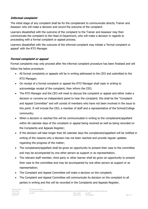#### **Informal complaint**

The initial stage of any complaint shall be for the complainant to communicate directly Trainer and Assessor who will make a decision and record the outcome of the complaint.

Learners dissatisfied with the outcome of the complaint to the Trainer and Assessor may then communicate the complaint to the Head of Department, who will make a decision in regards to proceeding with a formal complaint or appeal process.

Learners dissatisfied with the outcome of the informal complaint may initiate a 'formal complaint or appeal' with the RTO Manager.

#### **Formal complaint or appeal**

Formal complaints may only proceed after the informal complaint procedure has been finalised and will follow the below procedure:

- All formal complaints or appeals will be in writing addressed to the CEO and submitted to the RTO Manager;
- On receipt of a formal complaint or appeal the RTO Manager shall reply in writing to acknowledge receipt of the complaint, then inform the CEO;
- The RTO Manager and the CEO will meet to discuss the complaint or appeal and either make a decision or convene an independent panel to hear the complaint; this shall be the "Complaint and Appeal Committee" and will consist of members who have not been involved in the issue to this point. It will include the CEO, a member of staff and a representative of the School/College community;
- When a decision is reached this will be communicated in writing to the complainant/appellant within 60 calendar days of the complaint or appeal being received as well as being recorded on the Complaints and Appeals Register;
- If the decision will take longer than 60 calendar days the complainant/appellant will be notified in writing of the reasons why a decision has not been reached and provide regular updates regarding the progress of the matter;
- The complainant/appellant shall be given an opportunity to present their case to the committee and may be accompanied by one other person as support or as representation;
- The relevant staff member, third party or other learner shall be given an opportunity to present their case to the committee and may be accompanied by one other person as support or as representation;
- The Complaint and Appeal Committee will make a decision on the complaint;
- The Complaint and Appeal Committee will communicate its decision on the complaint to all parties in writing and this will be recorded in the Complaints and Appeals Register;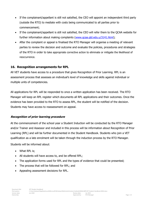- If the complainant/appellant is still not satisfied, the CEO will appoint an independent third party (outside the RTO) to mediate with costs being communicated to all parties prior to commencement;
- If the complainant/appellant is still not satisfied, the CEO will refer them to the QCAA website for further information about making complaints (www.gcaa.gld.edu.u/3141.html);
- After the complaint or appeal is finalised the RTO Manager will organise a meeting of relevant parties to review the decision and outcome and evaluate the policies, procedures and strategies of the RTO in order to take appropriate corrective action to eliminate or mitigate the likelihood of reoccurrence.

#### <span id="page-13-0"></span>**16. Recognition arrangements for RPL**

All VET students have access to a procedure that gives Recognition of Prior Learning. RPL is an assessment process that assesses an individual's level of knowledge and skills against individual or multiple units of competencies.

All applications for RPL will be responded to once a written application has been received. The RTO Manager will keep an RPL register which documents all RPL applications and their outcomes. Once the evidence has been provided to the RTO to assess RPL, the student will be notified of the decision. Students may have access to reassessment on appeal.

#### **Recognition of prior learning procedure**

At the commencement of the school year a Student Induction will be conducted by the RTO Manager and/or Trainer and Assessor and included in this process will be information about Recognition of Prior Learning (RPL) and will be further documented in the Student Handbook. Students who join a VET qualification as a late enrolment will be taken through the induction process by the RTO Manager.

Students will be informed about:

- What RPL is;
- All students will have access to, and be offered RPL;
- The application forms used for RPL and the types of evidence that could be presented;
- The process that will be followed for RPL; and
- Appealing assessment decisions for RPL.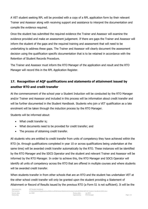A VET student seeking RPL will be provided with a copy of a RPL application form by their relevant Trainer and Assessor along with receiving support and assistance to interpret the documentation and compile the evidence required.

Once the student has submitted the required evidence the Trainer and Assessor will examine the evidence provided and make an assessment judgement. If there are gaps the Trainer and Assessor will inform the student of the gaps and the required training and assessment that will need to be undertaking to address these gaps. The Trainer and Assessor will clearly document the assessment decision using the qualification specific documentation that is to be retained in accordance with the Retention of Student Records Procedure.

The Trainer and Assessor must inform the RTO Manager of the application and result and the RTO Manager will record this in the RPL Application Register.

#### <span id="page-14-0"></span>**17. Recognition of AQF qualifications and statements of attainment issued by another RTO and credit transfer**

At the commencement of the school year a Student Induction will be conducted by the RTO Manager and/or Trainer and Assessor and included in this process will be information about credit transfer and will be further documented in the Student Handbook. Students who join a VET qualification as a late enrolment will be taken through the induction process by the RTO Manager.

Students will be informed about:

- What credit transfer is;
- What documents need to be provided for credit transfer; and
- The process of obtaining credit transfer.

All students who are entitled to credit transfer from units of competency they have achieved within the RTO (ie. through qualifications completed in year 10 or across qualifications being undertaken at the same time) will be awarded credit transfer automatically by the RTO. These instances will be identified by the RTO Manager and the SDCS Operator and the student and relevant Trainer and Assessor will be informed by the RTO Manager. In order to achieve this, the RTO Manager and SDCS Operator will identify all units of competency across the RTO that are offered in multiple courses and where students will be awarded credit transfer.

When students transfer in from other schools that are an RTO and the student has undertaken VET at the other school credit transfer will only be granted upon the student providing a Statement of Attainment or Record of Results issued by the previous RTO (a Form S1 is not sufficient). It will be the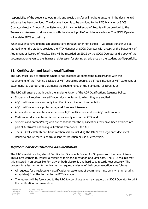responsibility of the student to obtain this and credit transfer will not be granted until the documented evidence has been provided. The documentation is to be provided to the RTO Manager or SDCS Operator directly. A copy of the Statement of Attainment/Record of Results will be provided to the Trainer and Assessor to store a copy with the student profile/portfolio as evidence. The SDCS Operator will update SDCS accordingly.

When students have undertaken qualifications through other non-school RTOs credit transfer will be granted when the student provides the RTO Manager or SDCS Operator with a copy of the Statement of Attainment or Record of Results. This will be recorded on SDCS by the SDCS Operator and a copy of the documentation given to the Trainer and Assessor for storing as evidence on the student profile/portfolio.

#### <span id="page-15-0"></span>**18. Certification and issuing qualifications**

The RTO must issue to students whom it has assessed as competent in accordance with the requirements of the Training package or VET accredited course, a VET qualification or VET statement of attainment (as appropriate) that meets the requirements of the Standards for RTOs 2015.

The RTO will ensure that through the implementation of the AQF Qualifications Issuance Policy:

- Students will receive the certification documentation to which they are entitled
- AQF qualifications are correctly identified in certification documentation
- AQF qualifications are protected against fraudulent issuance
- A clear distinction can be made between AQF qualifications and non-AQF qualifications
- Certification documentation is used consistently across the RTO, and
- Students and parents/caregivers are confident that the qualifications they have been awarded are part of Australia's national qualifications framework – the AQF
- The RTO will establish anti-fraud mechanisms by including the RTO's own logo each document issued to ensure there is no fraudulent reproduction or use of credentials.

#### **Replacement of certification documentation**

The RTO maintains a Register of Certification Documents Issued for 30 years from the date of issue. This allows learners to request a reissue of their documentation at a later date. The RTO ensures that this is stored in an accessible format with both electronic and hard copy records kept securely. The process for a learner, or former learner, to request a reissue of their documentation is as follows:

- All requests for a replacement qualification or statement of attainment must be in writing (email is acceptable) from the learner to the RTO Manager;
- The request will be forwarded to the RTO to coordinate who may request the SDCS Operator to print the certification documentation;